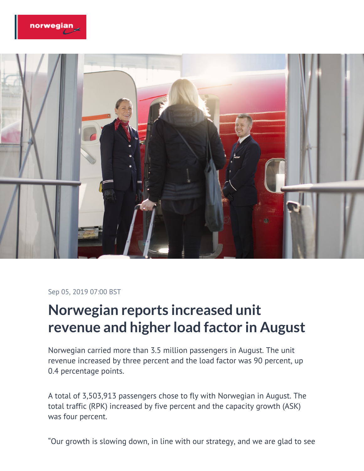



Sep 05, 2019 07:00 BST

## **Norwegian reports increased unit revenue and higher load factor in August**

Norwegian carried more than 3.5 million passengers in August. The unit revenue increased by three percent and the load factor was 90 percent, up 0.4 percentage points.

A total of 3,503,913 passengers chose to fly with Norwegian in August. The total traffic (RPK) increased by five percent and the capacity growth (ASK) was four percent.

"Our growth is slowing down, in line with our strategy, and we are glad to see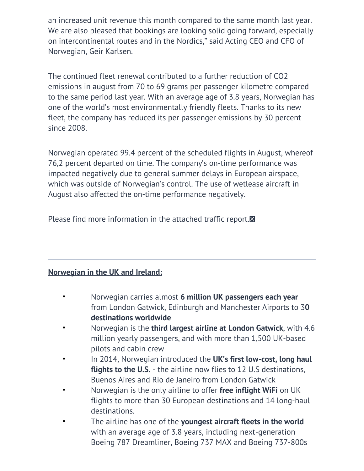an increased unit revenue this month compared to the same month last year. We are also pleased that bookings are looking solid going forward, especially on intercontinental routes and in the Nordics," said Acting CEO and CFO of Norwegian, Geir Karlsen.

The continued fleet renewal contributed to a further reduction of CO2 emissions in august from 70 to 69 grams per passenger kilometre compared to the same period last year. With an average age of 3.8 years, Norwegian has one of the world's most environmentally friendly fleets. Thanks to its new fleet, the company has reduced its per passenger emissions by 30 percent since 2008.

Norwegian operated 99.4 percent of the scheduled flights in August, whereof 76,2 percent departed on time. The company's on-time performance was impacted negatively due to general summer delays in European airspace, which was outside of Norwegian's control. The use of wetlease aircraft in August also affected the on-time performance negatively.

Please find more information in the attached traffic report.

## **Norwegian in the UK and Ireland:**

- Norwegian carries almost **6 million UK passengers each year** from London Gatwick, Edinburgh and Manchester Airports to 3**0 destinations worldwide**
- Norwegian is the **third largest airline at London Gatwick**, with 4.6 million yearly passengers, and with more than 1,500 UK-based pilots and cabin crew
- In 2014, Norwegian introduced the **UK's first low-cost, long haul flights to the U.S.** - the airline now flies to 12 U.S destinations, Buenos Aires and Rio de Janeiro from London Gatwick
- Norwegian is the only airline to offer **free inflight WiFi** on UK flights to more than 30 European destinations and 14 long-haul destinations.
- The airline has one of the **youngest aircraft fleets in the world** with an average age of 3.8 years, including next-generation Boeing 787 Dreamliner, Boeing 737 MAX and Boeing 737-800s